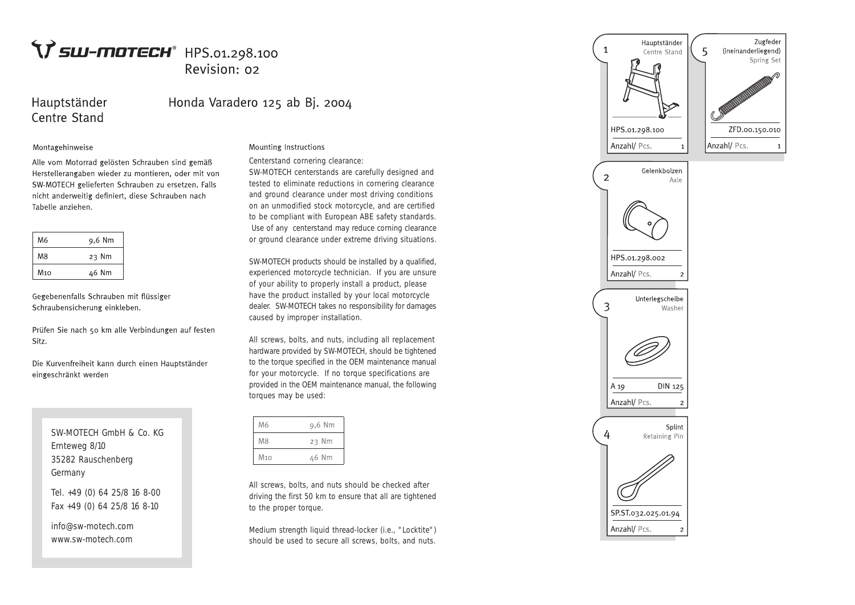# $\Upsilon$  sw-motech<sup>®</sup> HPS.01.298.100 Revision: 02

### Hauptständer Centre Stand

## Honda Varadero 125 ab Bj. 2004

#### Montagehinweise

Alle vom Motorrad gelösten Schrauben sind gemäß Herstellerangaben wieder zu montieren, oder mit von SW-MOTECH gelieferten Schrauben zu ersetzen. Falls nicht anderweitig definiert, diese Schrauben nach Tabelle anziehen.

| M6              | 9,6 Nm |
|-----------------|--------|
| M8              | 23 Nm  |
| M <sub>10</sub> | 46 Nm  |

Gegebenenfalls Schrauben mit flüssiger Schraubensicherung einkleben.

Prüfen Sie nach 50 km alle Verbindungen auf festen Sitz.

Die Kurvenfreiheit kann durch einen Hauptständer eingeschränkt werden

> SW-MOTECH GmbH & Co. KG Ernteweg 8/10 35282 Rauschenberg Germany

Tel. +49 (0) 64 25/8 16 8-00 Fax +49 (0) 64 25/8 16 8-10

info@sw-motech.com www.sw-motech.com

### Mounting Instructions

Centerstand cornering clearance:

SW-MOTECH centerstands are carefully designed and tested to eliminate reductions in cornering clearance and ground clearance under most driving conditions on an unmodified stock motorcycle, and are certified to be compliant with European ABE safety standards. Use of any centerstand may reduce corning clearance or ground clearance under extreme driving situations.

SW-MOTECH products should be installed by a qualified, experienced motorcycle technician. If you are unsure of your ability to properly install a product, please have the product installed by your local motorcycle dealer. SW-MOTECH takes no responsibility for damages caused by improper installation.

All screws, bolts, and nuts, including all replacement hardware provided by SW-MOTECH, should be tightened to the torque specified in the OEM maintenance manual for your motorcycle. If no torque specifications are provided in the OEM maintenance manual, the following torques may be used:

| M6              | 9,6 Nm |  |
|-----------------|--------|--|
| <b>M8</b>       | 23 Nm  |  |
| M <sub>10</sub> | 46 Nm  |  |

All screws, bolts, and nuts should be checked after driving the first 50 km to ensure that all are tightened to the proper torque.

Medium strength liquid thread-locker (i.e., "Locktite") should be used to secure all screws, bolts, and nuts.